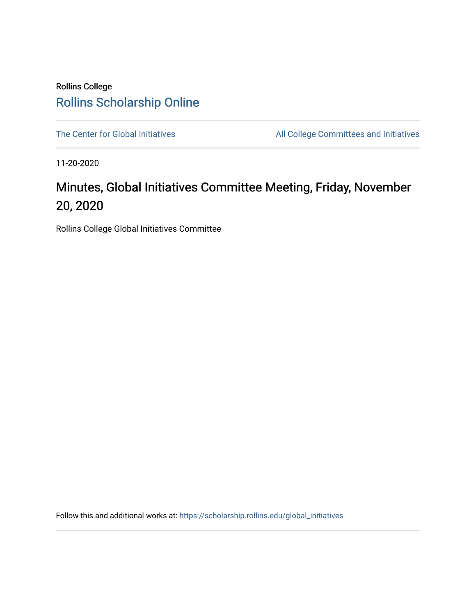### Rollins College [Rollins Scholarship Online](https://scholarship.rollins.edu/)

[The Center for Global Initiatives](https://scholarship.rollins.edu/global_initiatives) All College Committees and Initiatives

11-20-2020

## Minutes, Global Initiatives Committee Meeting, Friday, November 20, 2020

Rollins College Global Initiatives Committee

Follow this and additional works at: [https://scholarship.rollins.edu/global\\_initiatives](https://scholarship.rollins.edu/global_initiatives?utm_source=scholarship.rollins.edu%2Fglobal_initiatives%2F17&utm_medium=PDF&utm_campaign=PDFCoverPages)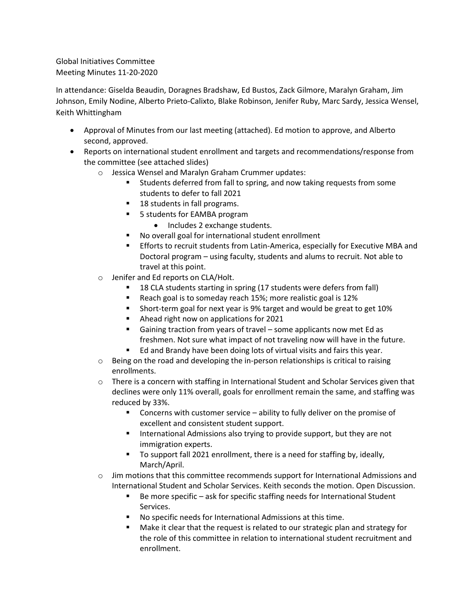#### Global Initiatives Committee Meeting Minutes 11-20-2020

In attendance: Giselda Beaudin, Doragnes Bradshaw, Ed Bustos, Zack Gilmore, Maralyn Graham, Jim Johnson, Emily Nodine, Alberto Prieto-Calixto, Blake Robinson, Jenifer Ruby, Marc Sardy, Jessica Wensel, Keith Whittingham

- Approval of Minutes from our last meeting (attached). Ed motion to approve, and Alberto second, approved.
- Reports on international student enrollment and targets and recommendations/response from the committee (see attached slides)
	- o Jessica Wensel and Maralyn Graham Crummer updates:
		- Students deferred from fall to spring, and now taking requests from some students to defer to fall 2021
		- 18 students in fall programs.
		- 5 students for EAMBA program
			- Includes 2 exchange students.
		- No overall goal for international student enrollment
		- Efforts to recruit students from Latin-America, especially for Executive MBA and Doctoral program – using faculty, students and alums to recruit. Not able to travel at this point.
	- o Jenifer and Ed reports on CLA/Holt.
		- 18 CLA students starting in spring (17 students were defers from fall)
		- Reach goal is to someday reach 15%; more realistic goal is 12%
		- Short-term goal for next year is 9% target and would be great to get 10%
		- Ahead right now on applications for 2021
		- Gaining traction from years of travel some applicants now met Ed as freshmen. Not sure what impact of not traveling now will have in the future.
		- Ed and Brandy have been doing lots of virtual visits and fairs this year.
	- $\circ$  Being on the road and developing the in-person relationships is critical to raising enrollments.
	- $\circ$  There is a concern with staffing in International Student and Scholar Services given that declines were only 11% overall, goals for enrollment remain the same, and staffing was reduced by 33%.
		- Concerns with customer service ability to fully deliver on the promise of excellent and consistent student support.
		- International Admissions also trying to provide support, but they are not immigration experts.
		- To support fall 2021 enrollment, there is a need for staffing by, ideally, March/April.
	- $\circ$  Jim motions that this committee recommends support for International Admissions and International Student and Scholar Services. Keith seconds the motion. Open Discussion.
		- Be more specific ask for specific staffing needs for International Student Services.
		- No specific needs for International Admissions at this time.
		- Make it clear that the request is related to our strategic plan and strategy for the role of this committee in relation to international student recruitment and enrollment.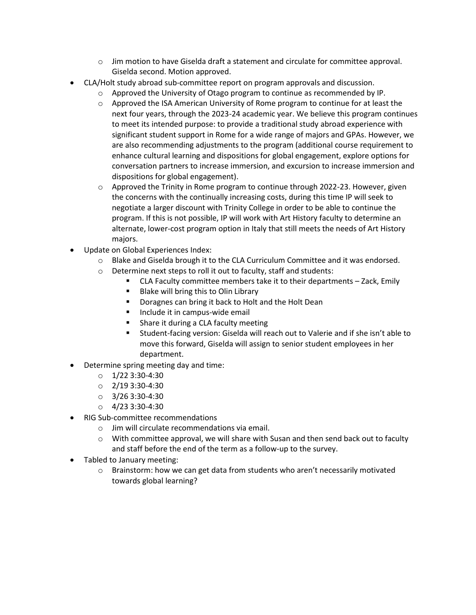- $\circ$  Jim motion to have Giselda draft a statement and circulate for committee approval. Giselda second. Motion approved.
- CLA/Holt study abroad sub-committee report on program approvals and discussion.
	- o Approved the University of Otago program to continue as recommended by IP.
	- $\circ$  Approved the ISA American University of Rome program to continue for at least the next four years, through the 2023-24 academic year. We believe this program continues to meet its intended purpose: to provide a traditional study abroad experience with significant student support in Rome for a wide range of majors and GPAs. However, we are also recommending adjustments to the program (additional course requirement to enhance cultural learning and dispositions for global engagement, explore options for conversation partners to increase immersion, and excursion to increase immersion and dispositions for global engagement).
	- $\circ$  Approved the Trinity in Rome program to continue through 2022-23. However, given the concerns with the continually increasing costs, during this time IP will seek to negotiate a larger discount with Trinity College in order to be able to continue the program. If this is not possible, IP will work with Art History faculty to determine an alternate, lower-cost program option in Italy that still meets the needs of Art History majors.
- Update on Global Experiences Index:
	- o Blake and Giselda brough it to the CLA Curriculum Committee and it was endorsed.
	- o Determine next steps to roll it out to faculty, staff and students:
		- CLA Faculty committee members take it to their departments Zack, Emily
		- Blake will bring this to Olin Library
		- Doragnes can bring it back to Holt and the Holt Dean
		- Include it in campus-wide email
		- Share it during a CLA faculty meeting
		- Student-facing version: Giselda will reach out to Valerie and if she isn't able to move this forward, Giselda will assign to senior student employees in her department.
- Determine spring meeting day and time:
	- $O$  1/22 3:30-4:30
	- $O$  2/19 3:30-4:30
	- $O$  3/26 3:30-4:30
	- $O$  4/23 3:30-4:30
- RIG Sub-committee recommendations
	- o Jim will circulate recommendations via email.
	- $\circ$  With committee approval, we will share with Susan and then send back out to faculty and staff before the end of the term as a follow-up to the survey.
- Tabled to January meeting:
	- o Brainstorm: how we can get data from students who aren't necessarily motivated towards global learning?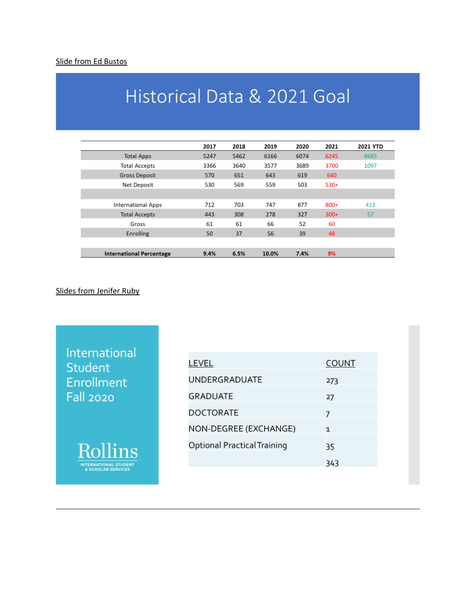#### Slide from Ed Bustos

# Historical Data & 2021 Goal

|                                 | 2017 | 2018 | 2019  | 2020 | 2021   | 2021 YTD |
|---------------------------------|------|------|-------|------|--------|----------|
| <b>Total Apps</b>               | 5247 | 5462 | 6166  | 6074 | 6245   | 4685     |
| <b>Total Accepts</b>            | 3366 | 3640 | 3577  | 3689 | 3700   | 1097     |
| <b>Gross Deposit</b>            | 570  | 651  | 643   | 619  | 640    |          |
| Net Deposit                     | 530  | 569  | 559   | 503  | $530+$ |          |
|                                 |      |      |       |      |        |          |
| <b>International Apps</b>       | 712  | 703  | 747   | 877  | $800+$ | 413      |
| <b>Total Accepts</b>            | 443  | 308  | 278   | 327  | $300+$ | 57       |
| Gross                           | 61   | 61   | 66    | 52   | 60     |          |
| Enrolling                       | 50   | 37   | 56    | 39   | 48     |          |
|                                 |      |      |       |      |        |          |
| <b>International Percentage</b> | 9.4% | 6.5% | 10.0% | 7.4% | 9%     |          |

#### Slides from Jenifer Ruby

International Student Enrollment **Fall 2020** 



| LEVEL<br><b>COUNT</b>                    |
|------------------------------------------|
| <b>UNDERGRADUATE</b><br>273              |
| <b>GRADUATE</b><br>27                    |
| <b>DOCTORATE</b><br>7                    |
| NON-DEGREE (EXCHANGE)<br>$\mathbf{1}$    |
| <b>Optional Practical Training</b><br>35 |
| 343                                      |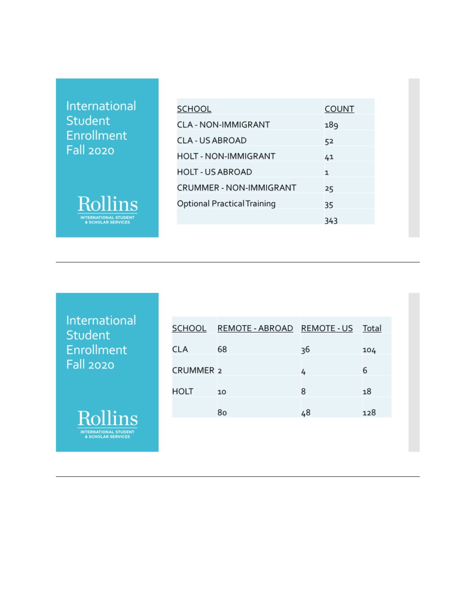International Student Enrollment **Fall 2020** 



| SCHOOL                             | COUNT |
|------------------------------------|-------|
|                                    |       |
| <b>CLA - NON-IMMIGRANT</b>         | 189   |
| CLA - US ABROAD                    | 52    |
| <b>HOLT - NON-IMMIGRANT</b>        | 41    |
| HOLT - US ABROAD                   | 1     |
| <b>CRUMMER - NON-IMMIGRANT</b>     | 25    |
| <b>Optional Practical Training</b> | 35    |
|                                    | 343   |

International Student Enrollment **Fall 2020** 



| SCHOOL               | REMOTE - ABROAD REMOTE - US Total |    |     |
|----------------------|-----------------------------------|----|-----|
| CLA                  | 68                                | 36 | 104 |
| CRUMMER <sub>2</sub> |                                   | 4  | 6   |
| HOLT                 | 10                                | 8  | 18  |
|                      | 80                                | 48 | 128 |